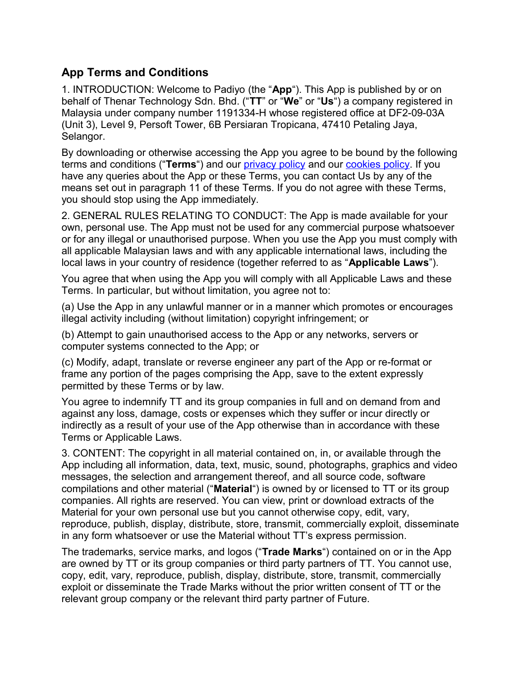## **App Terms and Conditions**

1. INTRODUCTION: Welcome to Padiyo (the "**App**"). This App is published by or on behalf of Thenar Technology Sdn. Bhd. ("**TT**" or "**We**" or "**Us**") a company registered in Malaysia under company number 1191334-H whose registered office at DF2-09-03A (Unit 3), Level 9, Persoft Tower, 6B Persiaran Tropicana, 47410 Petaling Jaya, Selangor.

By downloading or otherwise accessing the App you agree to be bound by the following terms and conditions ("**Terms**") and our privacy policy and our cookies policy. If you have any queries about the App or these Terms, you can contact Us by any of the means set out in paragraph 11 of these Terms. If you do not agree with these Terms, you should stop using the App immediately.

2. GENERAL RULES RELATING TO CONDUCT: The App is made available for your own, personal use. The App must not be used for any commercial purpose whatsoever or for any illegal or unauthorised purpose. When you use the App you must comply with all applicable Malaysian laws and with any applicable international laws, including the local laws in your country of residence (together referred to as "**Applicable Laws**").

You agree that when using the App you will comply with all Applicable Laws and these Terms. In particular, but without limitation, you agree not to:

(a) Use the App in any unlawful manner or in a manner which promotes or encourages illegal activity including (without limitation) copyright infringement; or

(b) Attempt to gain unauthorised access to the App or any networks, servers or computer systems connected to the App; or

(c) Modify, adapt, translate or reverse engineer any part of the App or re-format or frame any portion of the pages comprising the App, save to the extent expressly permitted by these Terms or by law.

You agree to indemnify TT and its group companies in full and on demand from and against any loss, damage, costs or expenses which they suffer or incur directly or indirectly as a result of your use of the App otherwise than in accordance with these Terms or Applicable Laws.

3. CONTENT: The copyright in all material contained on, in, or available through the App including all information, data, text, music, sound, photographs, graphics and video messages, the selection and arrangement thereof, and all source code, software compilations and other material ("**Material**") is owned by or licensed to TT or its group companies. All rights are reserved. You can view, print or download extracts of the Material for your own personal use but you cannot otherwise copy, edit, vary, reproduce, publish, display, distribute, store, transmit, commercially exploit, disseminate in any form whatsoever or use the Material without TT's express permission.

The trademarks, service marks, and logos ("**Trade Marks**") contained on or in the App are owned by TT or its group companies or third party partners of TT. You cannot use, copy, edit, vary, reproduce, publish, display, distribute, store, transmit, commercially exploit or disseminate the Trade Marks without the prior written consent of TT or the relevant group company or the relevant third party partner of Future.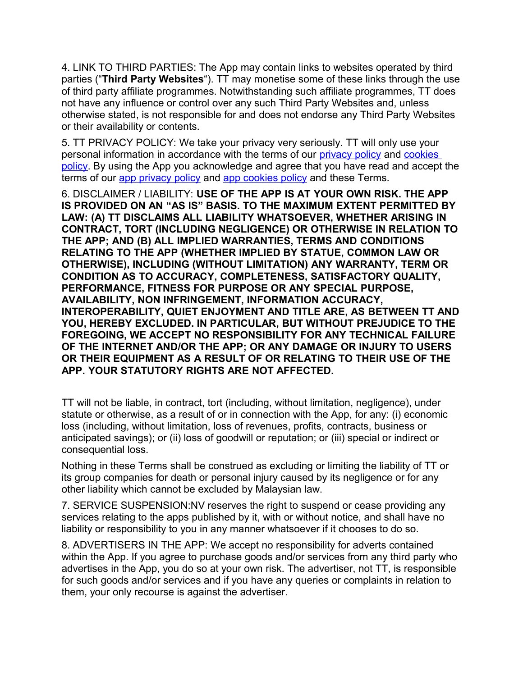4. LINK TO THIRD PARTIES: The App may contain links to websites operated by third parties ("**Third Party Websites**"). TT may monetise some of these links through the use of third party affiliate programmes. Notwithstanding such affiliate programmes, TT does not have any influence or control over any such Third Party Websites and, unless otherwise stated, is not responsible for and does not endorse any Third Party Websites or their availability or contents.

5. TT PRIVACY POLICY: We take your privacy very seriously. TT will only use your personal information in accordance with the terms of our privacy policy and cookies policy. By using the App you acknowledge and agree that you have read and accept the terms of our app privacy policy and app cookies policy and these Terms.

6. DISCLAIMER / LIABILITY: **USE OF THE APP IS AT YOUR OWN RISK. THE APP IS PROVIDED ON AN "AS IS" BASIS. TO THE MAXIMUM EXTENT PERMITTED BY LAW: (A) TT DISCLAIMS ALL LIABILITY WHATSOEVER, WHETHER ARISING IN CONTRACT, TORT (INCLUDING NEGLIGENCE) OR OTHERWISE IN RELATION TO THE APP; AND (B) ALL IMPLIED WARRANTIES, TERMS AND CONDITIONS RELATING TO THE APP (WHETHER IMPLIED BY STATUE, COMMON LAW OR OTHERWISE), INCLUDING (WITHOUT LIMITATION) ANY WARRANTY, TERM OR CONDITION AS TO ACCURACY, COMPLETENESS, SATISFACTORY QUALITY, PERFORMANCE, FITNESS FOR PURPOSE OR ANY SPECIAL PURPOSE, AVAILABILITY, NON INFRINGEMENT, INFORMATION ACCURACY, INTEROPERABILITY, QUIET ENJOYMENT AND TITLE ARE, AS BETWEEN TT AND YOU, HEREBY EXCLUDED. IN PARTICULAR, BUT WITHOUT PREJUDICE TO THE FOREGOING, WE ACCEPT NO RESPONSIBILITY FOR ANY TECHNICAL FAILURE OF THE INTERNET AND/OR THE APP; OR ANY DAMAGE OR INJURY TO USERS OR THEIR EQUIPMENT AS A RESULT OF OR RELATING TO THEIR USE OF THE APP. YOUR STATUTORY RIGHTS ARE NOT AFFECTED.**

TT will not be liable, in contract, tort (including, without limitation, negligence), under statute or otherwise, as a result of or in connection with the App, for any: (i) economic loss (including, without limitation, loss of revenues, profits, contracts, business or anticipated savings); or (ii) loss of goodwill or reputation; or (iii) special or indirect or consequential loss.

Nothing in these Terms shall be construed as excluding or limiting the liability of TT or its group companies for death or personal injury caused by its negligence or for any other liability which cannot be excluded by Malaysian law.

7. SERVICE SUSPENSION:NV reserves the right to suspend or cease providing any services relating to the apps published by it, with or without notice, and shall have no liability or responsibility to you in any manner whatsoever if it chooses to do so.

8. ADVERTISERS IN THE APP: We accept no responsibility for adverts contained within the App. If you agree to purchase goods and/or services from any third party who advertises in the App, you do so at your own risk. The advertiser, not TT, is responsible for such goods and/or services and if you have any queries or complaints in relation to them, your only recourse is against the advertiser.